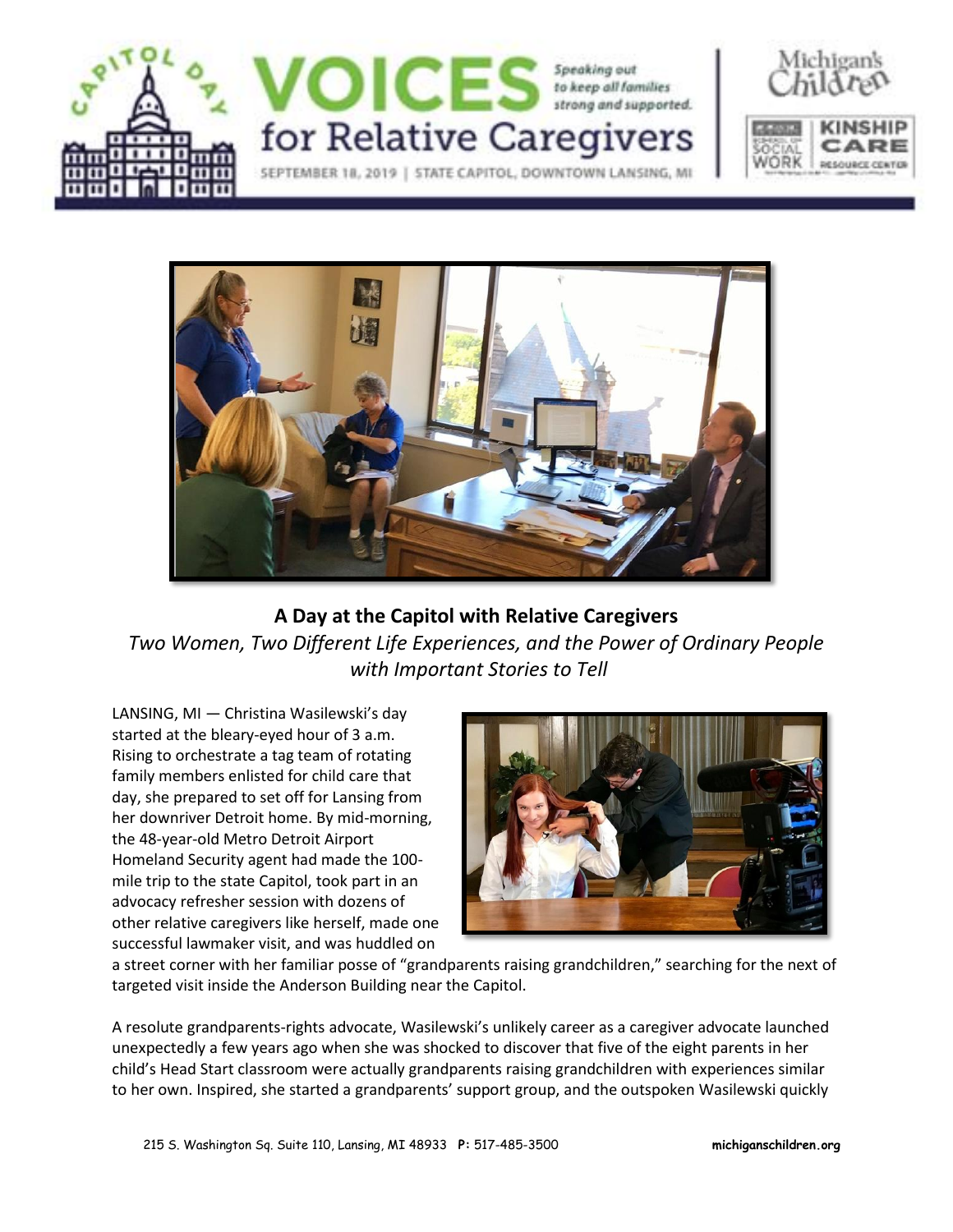





## **A Day at the Capitol with Relative Caregivers** *Two Women, Two Different Life Experiences, and the Power of Ordinary People with Important Stories to Tell*

LANSING, MI — Christina Wasilewski's day started at the bleary-eyed hour of 3 a.m. Rising to orchestrate a tag team of rotating family members enlisted for child care that day, she prepared to set off for Lansing from her downriver Detroit home. By mid-morning, the 48-year-old Metro Detroit Airport Homeland Security agent had made the 100 mile trip to the state Capitol, took part in an advocacy refresher session with dozens of other relative caregivers like herself, made one successful lawmaker visit, and was huddled on



a street corner with her familiar posse of "grandparents raising grandchildren," searching for the next of targeted visit inside the Anderson Building near the Capitol.

A resolute grandparents-rights advocate, Wasilewski's unlikely career as a caregiver advocate launched unexpectedly a few years ago when she was shocked to discover that five of the eight parents in her child's Head Start classroom were actually grandparents raising grandchildren with experiences similar to her own. Inspired, she started a grandparents' support group, and the outspoken Wasilewski quickly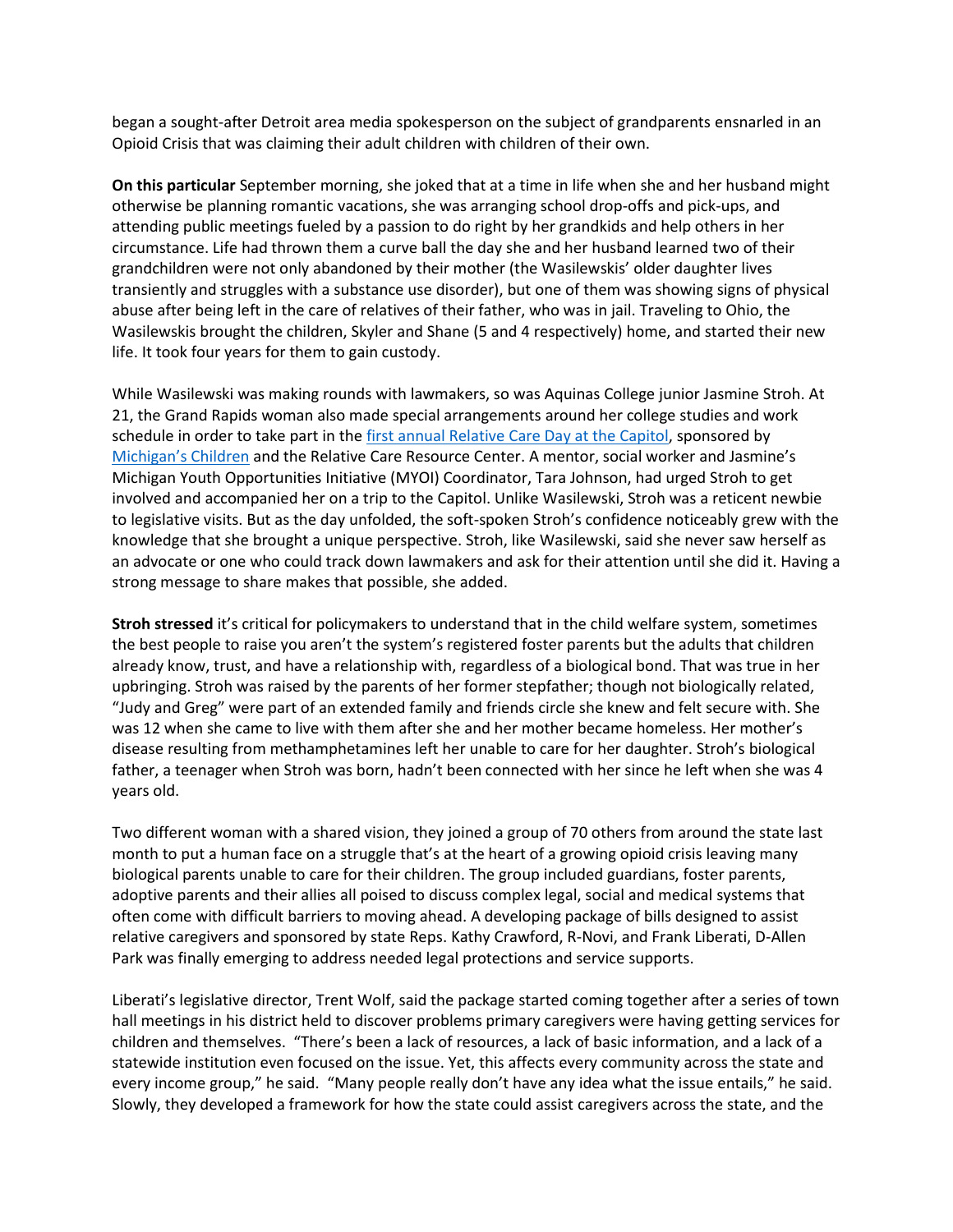began a sought-after Detroit area media spokesperson on the subject of grandparents ensnarled in an Opioid Crisis that was claiming their adult children with children of their own.

**On this particular** September morning, she joked that at a time in life when she and her husband might otherwise be planning romantic vacations, she was arranging school drop-offs and pick-ups, and attending public meetings fueled by a passion to do right by her grandkids and help others in her circumstance. Life had thrown them a curve ball the day she and her husband learned two of their grandchildren were not only abandoned by their mother (the Wasilewskis' older daughter lives transiently and struggles with a substance use disorder), but one of them was showing signs of physical abuse after being left in the care of relatives of their father, who was in jail. Traveling to Ohio, the Wasilewskis brought the children, Skyler and Shane (5 and 4 respectively) home, and started their new life. It took four years for them to gain custody.

While Wasilewski was making rounds with lawmakers, so was Aquinas College junior Jasmine Stroh. At 21, the Grand Rapids woman also made special arrangements around her college studies and work schedule in order to take part in the first annual Relative Care Day at the Capitol, sponsored by Michigan's Children and the Relative Care Resource Center. A mentor, social worker and Jasmine's Michigan Youth Opportunities Initiative (MYOI) Coordinator, Tara Johnson, had urged Stroh to get involved and accompanied her on a trip to the Capitol. Unlike Wasilewski, Stroh was a reticent newbie to legislative visits. But as the day unfolded, the soft-spoken Stroh's confidence noticeably grew with the knowledge that she brought a unique perspective. Stroh, like Wasilewski, said she never saw herself as an advocate or one who could track down lawmakers and ask for their attention until she did it. Having a strong message to share makes that possible, she added.

**Stroh stressed** it's critical for policymakers to understand that in the child welfare system, sometimes the best people to raise you aren't the system's registered foster parents but the adults that children already know, trust, and have a relationship with, regardless of a biological bond. That was true in her upbringing. Stroh was raised by the parents of her former stepfather; though not biologically related, "Judy and Greg" were part of an extended family and friends circle she knew and felt secure with. She was 12 when she came to live with them after she and her mother became homeless. Her mother's disease resulting from methamphetamines left her unable to care for her daughter. Stroh's biological father, a teenager when Stroh was born, hadn't been connected with her since he left when she was 4 years old.

Two different woman with a shared vision, they joined a group of 70 others from around the state last month to put a human face on a struggle that's at the heart of a growing opioid crisis leaving many biological parents unable to care for their children. The group included guardians, foster parents, adoptive parents and their allies all poised to discuss complex legal, social and medical systems that often come with difficult barriers to moving ahead. A developing package of bills designed to assist relative caregivers and sponsored by state Reps. Kathy Crawford, R-Novi, and Frank Liberati, D-Allen Park was finally emerging to address needed legal protections and service supports.

Liberati's legislative director, Trent Wolf, said the package started coming together after a series of town hall meetings in his district held to discover problems primary caregivers were having getting services for children and themselves. "There's been a lack of resources, a lack of basic information, and a lack of a statewide institution even focused on the issue. Yet, this affects every community across the state and every income group," he said. "Many people really don't have any idea what the issue entails," he said. Slowly, they developed a framework for how the state could assist caregivers across the state, and the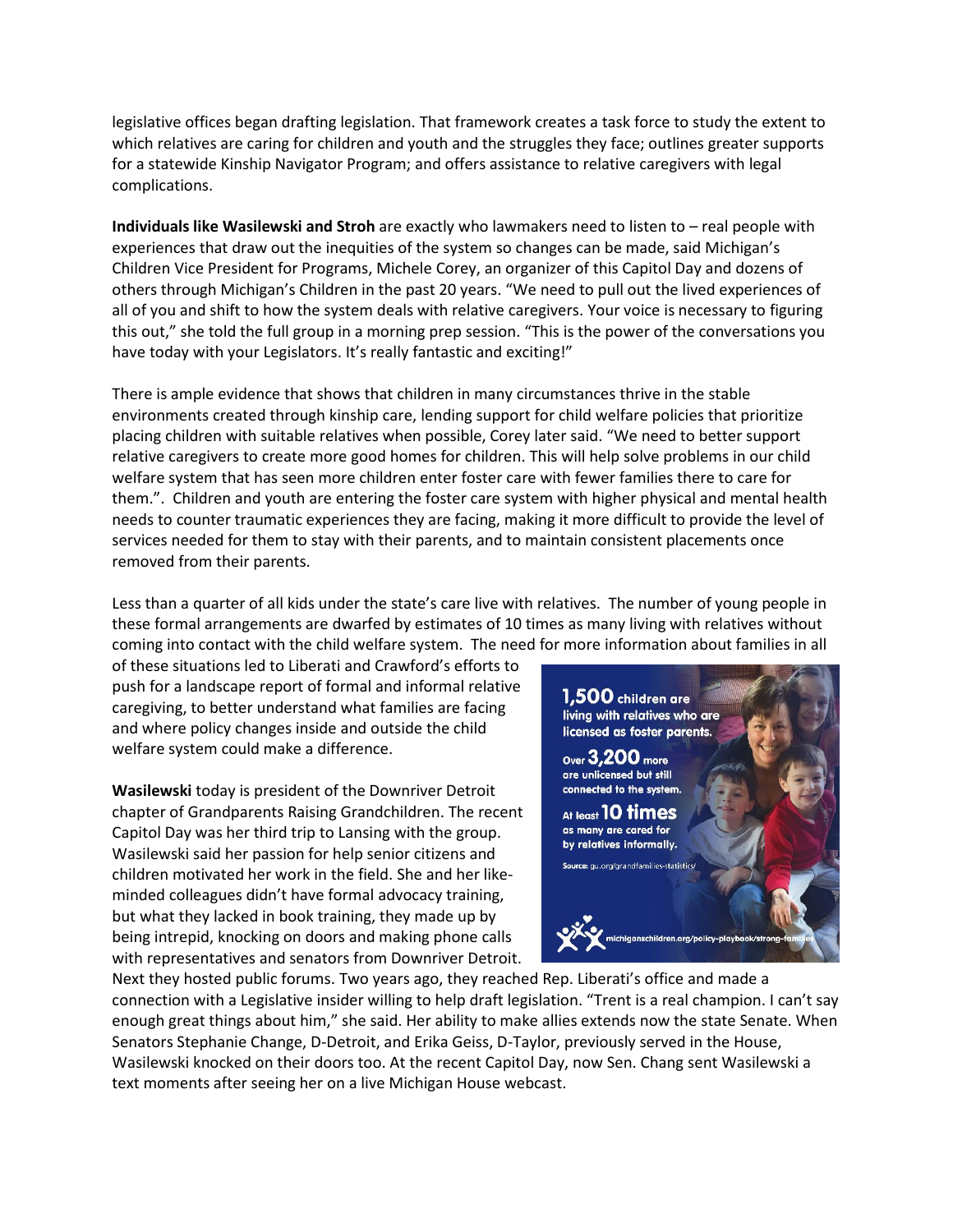legislative offices began drafting legislation. That framework creates a task force to study the extent to which relatives are caring for children and youth and the struggles they face; outlines greater supports for a statewide Kinship Navigator Program; and offers assistance to relative caregivers with legal complications.

**Individuals like Wasilewski and Stroh** are exactly who lawmakers need to listen to – real people with experiences that draw out the inequities of the system so changes can be made, said Michigan's Children Vice President for Programs, Michele Corey, an organizer of this Capitol Day and dozens of others through Michigan's Children in the past 20 years. "We need to pull out the lived experiences of all of you and shift to how the system deals with relative caregivers. Your voice is necessary to figuring this out," she told the full group in a morning prep session. "This is the power of the conversations you have today with your Legislators. It's really fantastic and exciting!"

There is ample evidence that shows that children in many circumstances thrive in the stable environments created through kinship care, lending support for child welfare policies that prioritize placing children with suitable relatives when possible, Corey later said. "We need to better support relative caregivers to create more good homes for children. This will help solve problems in our child welfare system that has seen more children enter foster care with fewer families there to care for them.". Children and youth are entering the foster care system with higher physical and mental health needs to counter traumatic experiences they are facing, making it more difficult to provide the level of services needed for them to stay with their parents, and to maintain consistent placements once removed from their parents.

Less than a quarter of all kids under the state's care live with relatives. The number of young people in these formal arrangements are dwarfed by estimates of 10 times as many living with relatives without coming into contact with the child welfare system. The need for more information about families in all

of these situations led to Liberati and Crawford's efforts to push for a landscape report of formal and informal relative caregiving, to better understand what families are facing and where policy changes inside and outside the child welfare system could make a difference.

**Wasilewski** today is president of the Downriver Detroit chapter of Grandparents Raising Grandchildren. The recent Capitol Day was her third trip to Lansing with the group. Wasilewski said her passion for help senior citizens and children motivated her work in the field. She and her likeminded colleagues didn't have formal advocacy training, but what they lacked in book training, they made up by being intrepid, knocking on doors and making phone calls with representatives and senators from Downriver Detroit.



Next they hosted public forums. Two years ago, they reached Rep. Liberati's office and made a connection with a Legislative insider willing to help draft legislation. "Trent is a real champion. I can't say enough great things about him," she said. Her ability to make allies extends now the state Senate. When Senators Stephanie Change, D-Detroit, and Erika Geiss, D-Taylor, previously served in the House, Wasilewski knocked on their doors too. At the recent Capitol Day, now Sen. Chang sent Wasilewski a text moments after seeing her on a live Michigan House webcast.